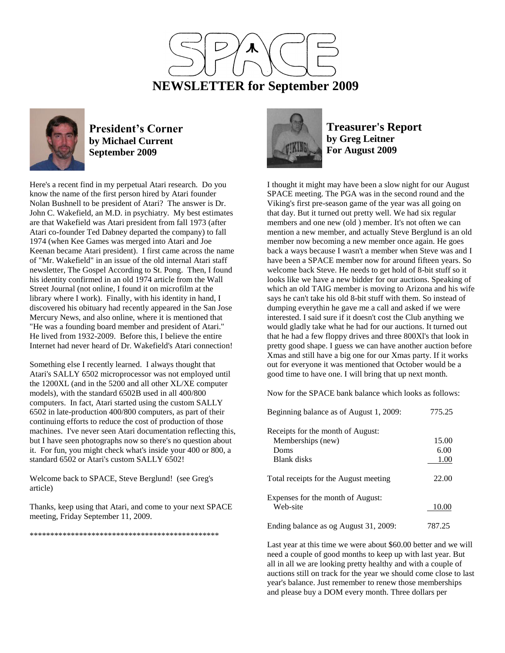



#### **President's Corner by Michael Current September 2009**

Here's a recent find in my perpetual Atari research. Do you know the name of the first person hired by Atari founder Nolan Bushnell to be president of Atari? The answer is Dr. John C. Wakefield, an M.D. in psychiatry. My best estimates are that Wakefield was Atari president from fall 1973 (after Atari co-founder Ted Dabney departed the company) to fall 1974 (when Kee Games was merged into Atari and Joe Keenan became Atari president). I first came across the name of "Mr. Wakefield" in an issue of the old internal Atari staff newsletter, The Gospel According to St. Pong. Then, I found his identity confirmed in an old 1974 article from the Wall Street Journal (not online, I found it on microfilm at the library where I work). Finally, with his identity in hand, I discovered his obituary had recently appeared in the San Jose Mercury News, and also online, where it is mentioned that "He was a founding board member and president of Atari." He lived from 1932-2009. Before this, I believe the entire Internet had never heard of Dr. Wakefield's Atari connection!

Something else I recently learned. I always thought that Atari's SALLY 6502 microprocessor was not employed until the 1200XL (and in the 5200 and all other XL/XE computer models), with the standard 6502B used in all 400/800 computers. In fact, Atari started using the custom SALLY 6502 in late-production 400/800 computers, as part of their continuing efforts to reduce the cost of production of those machines. I've never seen Atari documentation reflecting this, but I have seen photographs now so there's no question about it. For fun, you might check what's inside your 400 or 800, a standard 6502 or Atari's custom SALLY 6502!

Welcome back to SPACE, Steve Berglund! (see Greg's article)

Thanks, keep using that Atari, and come to your next SPACE meeting, Friday September 11, 2009.

\*\*\*\*\*\*\*\*\*\*\*\*\*\*\*\*\*\*\*\*\*\*\*\*\*\*\*\*\*\*\*\*\*\*\*\*\*\*\*\*\*\*\*\*\*\*



**Treasurer's Report by Greg Leitner For August 2009**

I thought it might may have been a slow night for our August SPACE meeting. The PGA was in the second round and the Viking's first pre-season game of the year was all going on that day. But it turned out pretty well. We had six regular members and one new (old ) member. It's not often we can mention a new member, and actually Steve Berglund is an old member now becoming a new member once again. He goes back a ways because I wasn't a member when Steve was and I have been a SPACE member now for around fifteen years. So welcome back Steve. He needs to get hold of 8-bit stuff so it looks like we have a new bidder for our auctions. Speaking of which an old TAIG member is moving to Arizona and his wife says he can't take his old 8-bit stuff with them. So instead of dumping everythin he gave me a call and asked if we were interested. I said sure if it doesn't cost the Club anything we would gladly take what he had for our auctions. It turned out that he had a few floppy drives and three 800Xl's that look in pretty good shape. I guess we can have another auction before Xmas and still have a big one for our Xmas party. If it works out for everyone it was mentioned that October would be a good time to have one. I will bring that up next month.

Now for the SPACE bank balance which looks as follows:

| Beginning balance as of August 1, 2009: | 775.25 |
|-----------------------------------------|--------|
| Receipts for the month of August:       |        |
| Memberships (new)                       | 15.00  |
| Doms                                    | 6.00   |
| Blank disks                             | 1.00   |
| Total receipts for the August meeting   | 22.00  |
| Expenses for the month of August:       |        |
| Web-site                                | 10.00  |
| Ending balance as og August 31, 2009:   | 787.25 |

Last year at this time we were about \$60.00 better and we will need a couple of good months to keep up with last year. But all in all we are looking pretty healthy and with a couple of auctions still on track for the year we should come close to last year's balance. Just remember to renew those memberships and please buy a DOM every month. Three dollars per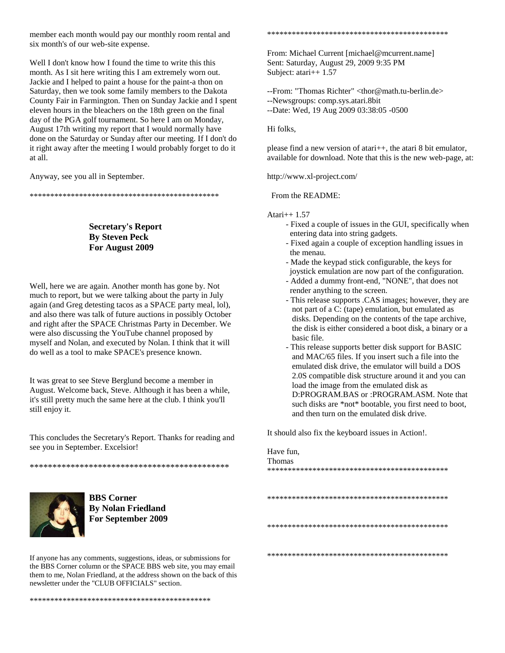member each month would pay our monthly room rental and six month's of our web-site expense.

Well I don't know how I found the time to write this this month. As I sit here writing this I am extremely worn out. Jackie and I helped to paint a house for the paint-a thon on Saturday, then we took some family members to the Dakota County Fair in Farmington. Then on Sunday Jackie and I spent eleven hours in the bleachers on the 18th green on the final day of the PGA golf tournament. So here I am on Monday, August 17th writing my report that I would normally have done on the Saturday or Sunday after our meeting. If I don't do it right away after the meeting I would probably forget to do it at all.

Anyway, see you all in September.

\*\*\*\*\*\*\*\*\*\*\*\*\*\*\*\*\*\*\*\*\*\*\*\*\*\*\*\*\*\*\*\*\*\*\*\*\*\*\*\*\*\*\*\*\*\*

**Secretary's Report By Steven Peck For August 2009**

Well, here we are again. Another month has gone by. Not much to report, but we were talking about the party in July again (and Greg detesting tacos as a SPACE party meal, lol), and also there was talk of future auctions in possibly October and right after the SPACE Christmas Party in December. We were also discussing the YouTube channel proposed by myself and Nolan, and executed by Nolan. I think that it will do well as a tool to make SPACE's presence known.

It was great to see Steve Berglund become a member in August. Welcome back, Steve. Although it has been a while, it's still pretty much the same here at the club. I think you'll still enjoy it.

This concludes the Secretary's Report. Thanks for reading and see you in September. Excelsior!

\*\*\*\*\*\*\*\*\*\*\*\*\*\*\*\*\*\*\*\*\*\*\*\*\*\*\*\*\*\*\*\*\*\*\*\*\*\*\*\*\*\*\*\*



**BBS Corner By Nolan Friedland For September 2009**

If anyone has any comments, suggestions, ideas, or submissions for the BBS Corner column or the SPACE BBS web site, you may email them to me, Nolan Friedland, at the address shown on the back of this newsletter under the "CLUB OFFICIALS" section.

\*\*\*\*\*\*\*\*\*\*\*\*\*\*\*\*\*\*\*\*\*\*\*\*\*\*\*\*\*\*\*\*\*\*\*\*\*\*\*\*\*\*\*\*

\*\*\*\*\*\*\*\*\*\*\*\*\*\*\*\*\*\*\*\*\*\*\*\*\*\*\*\*\*\*\*\*\*\*\*\*\*\*\*\*\*\*\*\*

From: Michael Current [michael@mcurrent.name] Sent: Saturday, August 29, 2009 9:35 PM Subject: atari++ 1.57

--From: "Thomas Richter" <thor@math.tu-berlin.de> --Newsgroups: comp.sys.atari.8bit --Date: Wed, 19 Aug 2009 03:38:05 -0500

Hi folks,

please find a new version of atari++, the atari 8 bit emulator, available for download. Note that this is the new web-page, at:

http://www.xl-project.com/

From the README:

Atari++ 1.57

- Fixed a couple of issues in the GUI, specifically when entering data into string gadgets.
- Fixed again a couple of exception handling issues in the menau.
- Made the keypad stick configurable, the keys for
- joystick emulation are now part of the configuration. - Added a dummy front-end, "NONE", that does not
- render anything to the screen. - This release supports .CAS images; however, they are not part of a C: (tape) emulation, but emulated as disks. Depending on the contents of the tape archive, the disk is either considered a boot disk, a binary or a basic file.
- This release supports better disk support for BASIC and MAC/65 files. If you insert such a file into the emulated disk drive, the emulator will build a DOS 2.0S compatible disk structure around it and you can load the image from the emulated disk as D:PROGRAM.BAS or :PROGRAM.ASM. Note that such disks are \*not\* bootable, you first need to boot, and then turn on the emulated disk drive.

It should also fix the keyboard issues in Action!.

Have fun, Thomas \*\*\*\*\*\*\*\*\*\*\*\*\*\*\*\*\*\*\*\*\*\*\*\*\*\*\*\*\*\*\*\*\*\*\*\*\*\*\*\*\*\*\*\* \*\*\*\*\*\*\*\*\*\*\*\*\*\*\*\*\*\*\*\*\*\*\*\*\*\*\*\*\*\*\*\*\*\*\*\*\*\*\*\*\*\*\*\* \*\*\*\*\*\*\*\*\*\*\*\*\*\*\*\*\*\*\*\*\*\*\*\*\*\*\*\*\*\*\*\*\*\*\*\*\*\*\*\*\*\*\*\*

\*\*\*\*\*\*\*\*\*\*\*\*\*\*\*\*\*\*\*\*\*\*\*\*\*\*\*\*\*\*\*\*\*\*\*\*\*\*\*\*\*\*\*\*